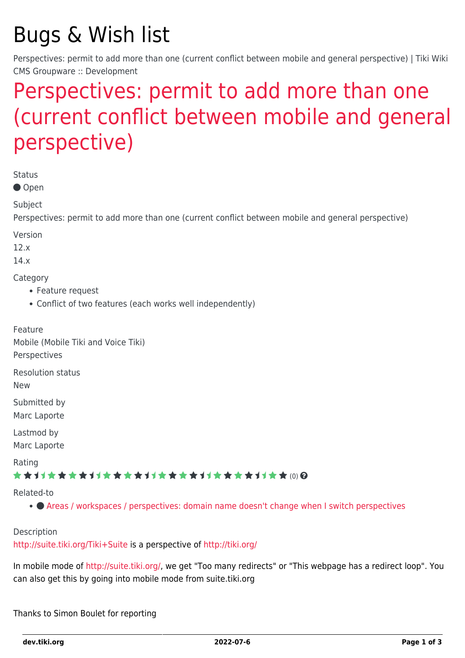# Bugs & Wish list

Perspectives: permit to add more than one (current conflict between mobile and general perspective) | Tiki Wiki CMS Groupware :: Development

## [Perspectives: permit to add more than one](https://dev.tiki.org/item5031-Perspectives-permit-to-add-more-than-one-current-conflict-between-mobile-and-general-perspective) [\(current conflict between mobile and general](https://dev.tiki.org/item5031-Perspectives-permit-to-add-more-than-one-current-conflict-between-mobile-and-general-perspective) [perspective\)](https://dev.tiki.org/item5031-Perspectives-permit-to-add-more-than-one-current-conflict-between-mobile-and-general-perspective)

Status

● Open

Subject

Perspectives: permit to add more than one (current conflict between mobile and general perspective)

Version

12.x

14.x

**Category** 

- Feature request
- Conflict of two features (each works well independently)

Feature Mobile (Mobile Tiki and Voice Tiki) Perspectives

Resolution status

New

Submitted by Marc Laporte

Lastmod by Marc Laporte

Rating

#### \*\*\*\*\*\*\*\*\*\*\*\*\*\*\*\*\*\*\*\*\*\*\*\*\*\*\*\*\*\*

Related-to

[Areas / workspaces / perspectives: domain name doesn't change when I switch perspectives](https://dev.tiki.org/item4696-Areas-workspaces-perspectives-domain-name-doesn-t-change-when-I-switch-perspectives)

Description

<http://suite.tiki.org/Tiki+Suite>is a perspective of <http://tiki.org/>

In mobile mode of [http://suite.tiki.org/,](http://suite.tiki.org/) we get "Too many redirects" or "This webpage has a redirect loop". You can also get this by going into mobile mode from suite.tiki.org

Thanks to Simon Boulet for reporting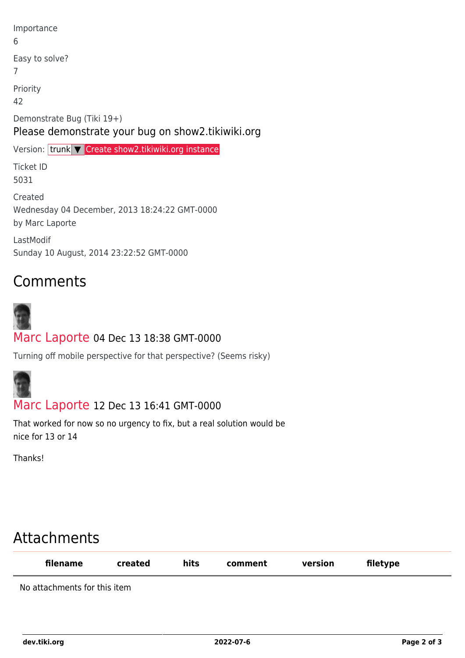| Importance<br>6                                                                   |
|-----------------------------------------------------------------------------------|
| Easy to solve?<br>7                                                               |
| Priority<br>42                                                                    |
| Demonstrate Bug (Tiki 19+)<br>Please demonstrate your bug on show 2. tikiwiki.org |
| Version: trunk <b>V</b> Create show2.tikiwiki.org instance                        |
| <b>Ticket ID</b>                                                                  |
| 5031                                                                              |
| Created<br>Wednesday 04 December, 2013 18:24:22 GMT-0000<br>by Marc Laporte       |

## **Comments**



### [Marc Laporte](https://dev.tiki.org/user11197) 04 Dec 13 18:38 GMT-0000

Turning off mobile perspective for that perspective? (Seems risky)



#### [Marc Laporte](https://dev.tiki.org/user11197) 12 Dec 13 16:41 GMT-0000

That worked for now so no urgency to fix, but a real solution would be nice for 13 or 14

Thanks!

## Attachments

| filename                     | created | hits | comment | version | filetype |  |
|------------------------------|---------|------|---------|---------|----------|--|
| No attachments for this item |         |      |         |         |          |  |

**dev.tiki.org 2022-07-6 Page 2 of 3**